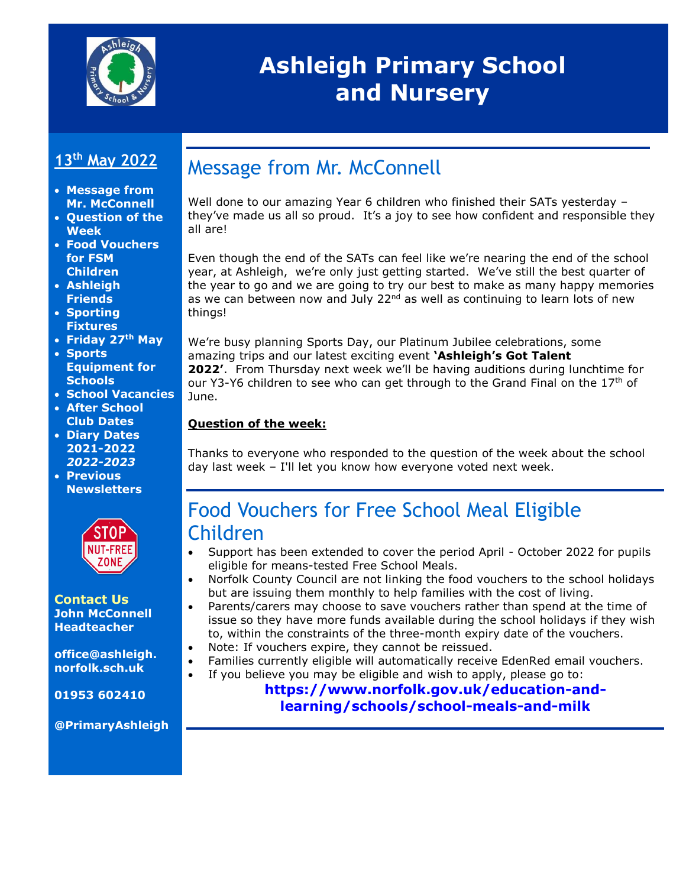

# **Ashleigh Primary School and Nursery**

#### **13th May 2022**

- **Message from Mr. McConnell**
- **Question of the Week**
- **Food Vouchers for FSM Children**
- **Ashleigh Friends**
- **Sporting Fixtures**
- **Friday 27th May**
- **Sports Equipment for Schools**
- **School Vacancies**
- **After School Club Dates**
- **Diary Dates 2021-2022** *2022-2023*
- **Previous Newsletters**



#### **Contact Us John McConnell Headteacher**

**office@ashleigh. norfolk.sch.uk**

**01953 602410**

**@PrimaryAshleigh**

# Message from Mr. McConnell

Well done to our amazing Year 6 children who finished their SATs yesterday – they've made us all so proud. It's a joy to see how confident and responsible they all are!

Even though the end of the SATs can feel like we're nearing the end of the school year, at Ashleigh, we're only just getting started. We've still the best quarter of the year to go and we are going to try our best to make as many happy memories as we can between now and July  $22<sup>nd</sup>$  as well as continuing to learn lots of new things!

We're busy planning Sports Day, our Platinum Jubilee celebrations, some amazing trips and our latest exciting event **'Ashleigh's Got Talent 2022'**. From Thursday next week we'll be having auditions during lunchtime for our Y3-Y6 children to see who can get through to the Grand Final on the  $17<sup>th</sup>$  of June.

#### **Question of the week:**

Thanks to everyone who responded to the question of the week about the school day last week – I'll let you know how everyone voted next week.

### Food Vouchers for Free School Meal Eligible Children

- Support has been extended to cover the period April October 2022 for pupils eligible for means-tested Free School Meals.
- Norfolk County Council are not linking the food vouchers to the school holidays but are issuing them monthly to help families with the cost of living.
- Parents/carers may choose to save vouchers rather than spend at the time of issue so they have more funds available during the school holidays if they wish to, within the constraints of the three-month expiry date of the vouchers.
	- Note: If vouchers expire, they cannot be reissued.
- Families currently eligible will automatically receive EdenRed email vouchers.
- If you believe you may be eligible and wish to apply, please go to:

#### **[https://www.norfolk.gov.uk/education-and](https://www.norfolk.gov.uk/education-and-learning/schools/school-meals-and-milk)[learning/schools/school-meals-and-milk](https://www.norfolk.gov.uk/education-and-learning/schools/school-meals-and-milk)**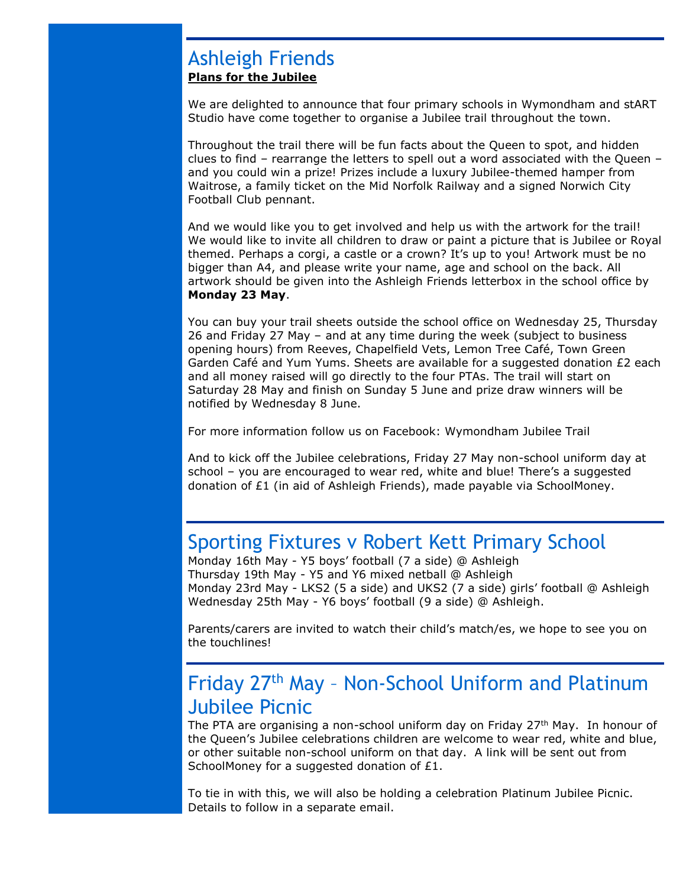#### Ashleigh Friends **Plans for the Jubilee**

We are delighted to announce that four primary schools in Wymondham and stART Studio have come together to organise a Jubilee trail throughout the town.

Throughout the trail there will be fun facts about the Queen to spot, and hidden clues to find – rearrange the letters to spell out a word associated with the Queen – and you could win a prize! Prizes include a luxury Jubilee-themed hamper from Waitrose, a family ticket on the Mid Norfolk Railway and a signed Norwich City Football Club pennant.

And we would like you to get involved and help us with the artwork for the trail! We would like to invite all children to draw or paint a picture that is Jubilee or Royal themed. Perhaps a corgi, a castle or a crown? It's up to you! Artwork must be no bigger than A4, and please write your name, age and school on the back. All artwork should be given into the Ashleigh Friends letterbox in the school office by **Monday 23 May**.

You can buy your trail sheets outside the school office on Wednesday 25, Thursday 26 and Friday 27 May – and at any time during the week (subject to business opening hours) from Reeves, Chapelfield Vets, Lemon Tree Café, Town Green Garden Café and Yum Yums. Sheets are available for a suggested donation £2 each and all money raised will go directly to the four PTAs. The trail will start on Saturday 28 May and finish on Sunday 5 June and prize draw winners will be notified by Wednesday 8 June.

For more information follow us on Facebook: Wymondham Jubilee Trail

And to kick off the Jubilee celebrations, Friday 27 May non-school uniform day at school – you are encouraged to wear red, white and blue! There's a suggested donation of £1 (in aid of Ashleigh Friends), made payable via SchoolMoney.

### Sporting Fixtures v Robert Kett Primary School

Monday 16th May - Y5 boys' football (7 a side) @ Ashleigh Thursday 19th May - Y5 and Y6 mixed netball @ Ashleigh Monday 23rd May - LKS2 (5 a side) and UKS2 (7 a side) girls' football @ Ashleigh Wednesday 25th May - Y6 boys' football (9 a side) @ Ashleigh.

Parents/carers are invited to watch their child's match/es, we hope to see you on the touchlines!

# Friday 27th May – Non-School Uniform and Platinum Jubilee Picnic

The PTA are organising a non-school uniform day on Friday  $27<sup>th</sup>$  May. In honour of the Queen's Jubilee celebrations children are welcome to wear red, white and blue, or other suitable non-school uniform on that day. A link will be sent out from SchoolMoney for a suggested donation of £1.

To tie in with this, we will also be holding a celebration Platinum Jubilee Picnic. Details to follow in a separate email.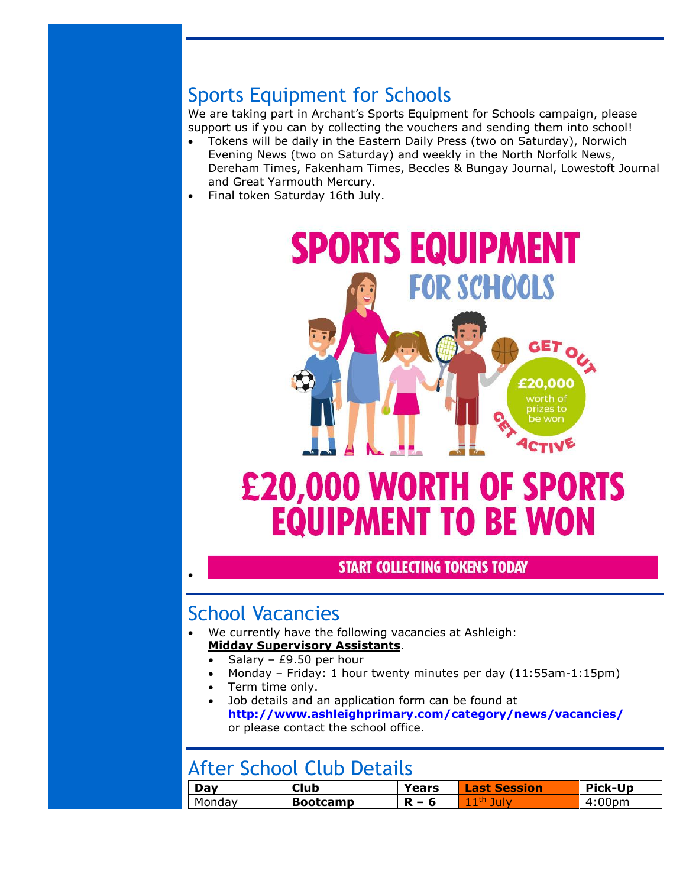# Sports Equipment for Schools

We are taking part in Archant's Sports Equipment for Schools campaign, please support us if you can by collecting the vouchers and sending them into school!

- Tokens will be daily in the Eastern Daily Press (two on Saturday), Norwich Evening News (two on Saturday) and weekly in the North Norfolk News, Dereham Times, Fakenham Times, Beccles & Bungay Journal, Lowestoft Journal and Great Yarmouth Mercury.
- Final token Saturday 16th July.



#### **START COLLECTING TOKENS TODAY**

### School Vacancies

•

- We currently have the following vacancies at Ashleigh: **Midday Supervisory Assistants**.
	- Salary  $£9.50$  per hour
	- Monday Friday: 1 hour twenty minutes per day (11:55am-1:15pm)
	- Term time only.
	- Job details and an application form can be found at **<http://www.ashleighprimary.com/category/news/vacancies/>** or please contact the school office.

## After School Club Details

| Day    | <b>Club</b>     | Years   | <b>Last Session</b> | Pick-Up |  |
|--------|-----------------|---------|---------------------|---------|--|
| Monday | <b>Bootcamp</b> | $R - 6$ | $11th$ July         | 4:00pm  |  |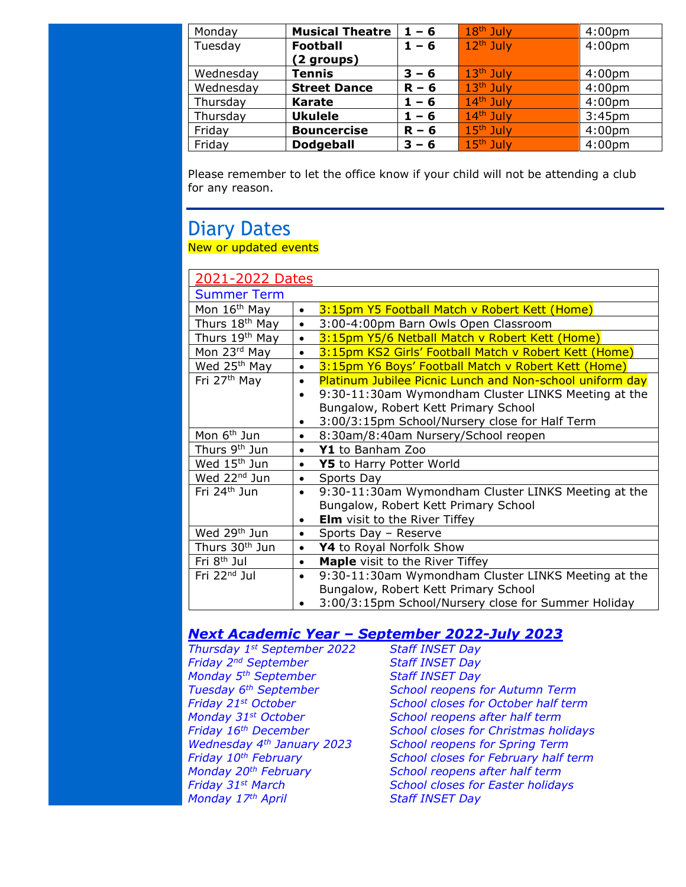| Monday    | <b>Musical Theatre</b> | $1 - 6$ | 18 <sup>th</sup> July | 4:00 <sub>pm</sub> |
|-----------|------------------------|---------|-----------------------|--------------------|
| Tuesday   | <b>Football</b>        | $1 - 6$ | $12th$ July           | 4:00 <sub>pm</sub> |
|           | (2 groups)             |         |                       |                    |
| Wednesday | <b>Tennis</b>          | $3 - 6$ | $13th$ July           | 4:00 <sub>pm</sub> |
| Wednesday | <b>Street Dance</b>    | $R - 6$ | $13th$ July           | 4:00 <sub>pm</sub> |
| Thursday  | <b>Karate</b>          | $1 - 6$ | $14th$ July           | 4:00 <sub>pm</sub> |
| Thursday  | <b>Ukulele</b>         | $1 - 6$ | $14th$ July           | 3:45 <sub>pm</sub> |
| Friday    | <b>Bouncercise</b>     | $R - 6$ | 15 <sup>th</sup> July | 4:00 <sub>pm</sub> |
| Friday    | <b>Dodgeball</b>       | $3 - 6$ | $15th$ July           | 4:00 <sub>pm</sub> |

Please remember to let the office know if your child will not be attending a club for any reason.

#### Diary Dates New or updated events

| 2021-2022 Dates            |                                                                       |  |
|----------------------------|-----------------------------------------------------------------------|--|
| <b>Summer Term</b>         |                                                                       |  |
| Mon 16 <sup>th</sup> May   | 3:15pm Y5 Football Match v Robert Kett (Home)<br>$\bullet$            |  |
| Thurs 18 <sup>th</sup> May | 3:00-4:00pm Barn Owls Open Classroom<br>$\bullet$                     |  |
| Thurs 19th May             | 3:15pm Y5/6 Netball Match v Robert Kett (Home)<br>$\bullet$           |  |
| Mon 23rd May               | 3:15pm KS2 Girls' Football Match v Robert Kett (Home)<br>$\bullet$    |  |
| Wed 25 <sup>th</sup> May   | 3:15pm Y6 Boys' Football Match v Robert Kett (Home)<br>$\bullet$      |  |
| Fri 27 <sup>th</sup> May   | Platinum Jubilee Picnic Lunch and Non-school uniform day<br>$\bullet$ |  |
|                            | 9:30-11:30am Wymondham Cluster LINKS Meeting at the<br>$\bullet$      |  |
|                            | Bungalow, Robert Kett Primary School                                  |  |
|                            | 3:00/3:15pm School/Nursery close for Half Term<br>$\bullet$           |  |
| Mon 6 <sup>th</sup> Jun    | 8:30am/8:40am Nursery/School reopen<br>$\bullet$                      |  |
| Thurs 9 <sup>th</sup> Jun  | Y1 to Banham Zoo<br>$\bullet$                                         |  |
| Wed 15 <sup>th</sup> Jun   | Y5 to Harry Potter World<br>$\bullet$                                 |  |
| Wed 22 <sup>nd</sup> Jun   | Sports Day<br>$\bullet$                                               |  |
| Fri 24 <sup>th</sup> Jun   | 9:30-11:30am Wymondham Cluster LINKS Meeting at the<br>$\bullet$      |  |
|                            | Bungalow, Robert Kett Primary School                                  |  |
|                            | <b>Elm</b> visit to the River Tiffey<br>$\bullet$                     |  |
| Wed 29 <sup>th</sup> Jun   | Sports Day - Reserve                                                  |  |
| Thurs 30 <sup>th</sup> Jun | Y4 to Royal Norfolk Show                                              |  |
| Fri 8 <sup>th</sup> Jul    | Maple visit to the River Tiffey                                       |  |
| Fri 22 <sup>nd</sup> Jul   | 9:30-11:30am Wymondham Cluster LINKS Meeting at the<br>$\bullet$      |  |
|                            | Bungalow, Robert Kett Primary School                                  |  |
|                            | 3:00/3:15pm School/Nursery close for Summer Holiday                   |  |

#### *Next Academic Year – September 2022-July 2023*

*Thursday 1st September 2022 Staff INSET Day Friday 2nd September Staff INSET Day Monday 5th September Staff INSET Day Monday 31st October School reopens after half term Monday 20th February School reopens after half term Monday 17th April Staff INSET Day*

*Tuesday 6th September School reopens for Autumn Term Friday 21st October School closes for October half term Friday 16th December School closes for Christmas holidays Wednesday 4th January 2023 School reopens for Spring Term Friday 10th February School closes for February half term Friday 31st March School closes for Easter holidays*